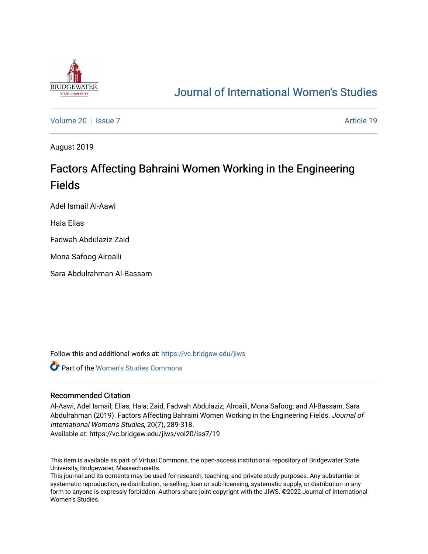

# [Journal of International Women's Studies](https://vc.bridgew.edu/jiws)

[Volume 20](https://vc.bridgew.edu/jiws/vol20) | [Issue 7](https://vc.bridgew.edu/jiws/vol20/iss7) Article 19

August 2019

# Factors Affecting Bahraini Women Working in the Engineering Fields

Adel Ismail Al-Aawi

Hala Elias

Fadwah Abdulaziz Zaid

Mona Safoog Alroaili

Sara Abdulrahman Al-Bassam

Follow this and additional works at: [https://vc.bridgew.edu/jiws](https://vc.bridgew.edu/jiws?utm_source=vc.bridgew.edu%2Fjiws%2Fvol20%2Fiss7%2F19&utm_medium=PDF&utm_campaign=PDFCoverPages)

Part of the [Women's Studies Commons](http://network.bepress.com/hgg/discipline/561?utm_source=vc.bridgew.edu%2Fjiws%2Fvol20%2Fiss7%2F19&utm_medium=PDF&utm_campaign=PDFCoverPages) 

### Recommended Citation

Al-Aawi, Adel Ismail; Elias, Hala; Zaid, Fadwah Abdulaziz; Alroaili, Mona Safoog; and Al-Bassam, Sara Abdulrahman (2019). Factors Affecting Bahraini Women Working in the Engineering Fields. Journal of International Women's Studies, 20(7), 289-318.

Available at: https://vc.bridgew.edu/jiws/vol20/iss7/19

This item is available as part of Virtual Commons, the open-access institutional repository of Bridgewater State University, Bridgewater, Massachusetts.

This journal and its contents may be used for research, teaching, and private study purposes. Any substantial or systematic reproduction, re-distribution, re-selling, loan or sub-licensing, systematic supply, or distribution in any form to anyone is expressly forbidden. Authors share joint copyright with the JIWS. ©2022 Journal of International Women's Studies.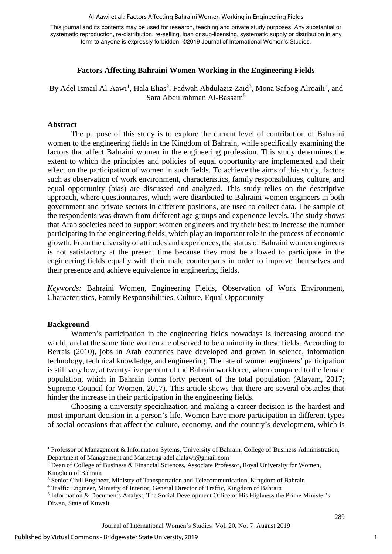#### Al-Aawi et al.: Factors Affecting Bahraini Women Working in Engineering Fields

This journal and its contents may be used for research, teaching and private study purposes. Any substantial or systematic reproduction, re-distribution, re-selling, loan or sub-licensing, systematic supply or distribution in any form to anyone is expressly forbidden. ©2019 Journal of International Women's Studies.

### **Factors Affecting Bahraini Women Working in the Engineering Fields**

By Adel Ismail Al-Aawi<sup>1</sup>, Hala Elias<sup>2</sup>, Fadwah Abdulaziz Zaid<sup>3</sup>, Mona Safoog Alroaili<sup>4</sup>, and <sup>5</sup> Sara Abdulrahman Al-Bassam

#### **Abstract**

The purpose of this study is to explore the current level of contribution of Bahraini women to the engineering fields in the Kingdom of Bahrain, while specifically examining the factors that affect Bahraini women in the engineering profession. This study determines the extent to which the principles and policies of equal opportunity are implemented and their effect on the participation of women in such fields. To achieve the aims of this study, factors such as observation of work environment, characteristics, family responsibilities, culture, and equal opportunity (bias) are discussed and analyzed. This study relies on the descriptive approach, where questionnaires, which were distributed to Bahraini women engineers in both government and private sectors in different positions, are used to collect data. The sample of the respondents was drawn from different age groups and experience levels. The study shows that Arab societies need to support women engineers and try their best to increase the number participating in the engineering fields, which play an important role in the process of economic growth. From the diversity of attitudes and experiences, the status of Bahraini women engineers is not satisfactory at the present time because they must be allowed to participate in the engineering fields equally with their male counterparts in order to improve themselves and their presence and achieve equivalence in engineering fields.

*Keywords:* Bahraini Women, Engineering Fields, Observation of Work Environment, Characteristics, Family Responsibilities, Culture, Equal Opportunity

#### **Background**

 $\overline{a}$ 

Women's participation in the engineering fields nowadays is increasing around the world, and at the same time women are observed to be a minority in these fields. According to Berrais (2010), jobs in Arab countries have developed and grown in science, information technology, technical knowledge, and engineering. The rate of women engineers' participation is still very low, at twenty-five percent of the Bahrain workforce, when compared to the female population, which in Bahrain forms forty percent of the total population (Alayam, 2017; Supreme Council for Women, 2017). This article shows that there are several obstacles that hinder the increase in their participation in the engineering fields.

Choosing a university specialization and making a career decision is the hardest and most important decision in a person's life. Women have more participation in different types of social occasions that affect the culture, economy, and the country's development, which is

1

<sup>1</sup> Professor of Management & Information Sytems, University of Bahrain, College of Business Administration, Department of Management and Marketing [adel.alalawi@gmail.com](mailto:adel.alalawi@gmail.com)

<sup>2</sup> Dean of College of Business & Financial Sciences, Associate Professor, Royal University for Women, Kingdom of Bahrain

<sup>&</sup>lt;sup>3</sup> Senior Civil Engineer, Ministry of Transportation and Telecommunication, Kingdom of Bahrain

<sup>4</sup> Traffic Engineer, Ministry of Interior, General Director of Traffic, Kingdom of Bahrain

<sup>&</sup>lt;sup>5</sup> Information & Documents Analyst, The Social Development Office of His Highness the Prime Minister's Diwan, State of Kuwait.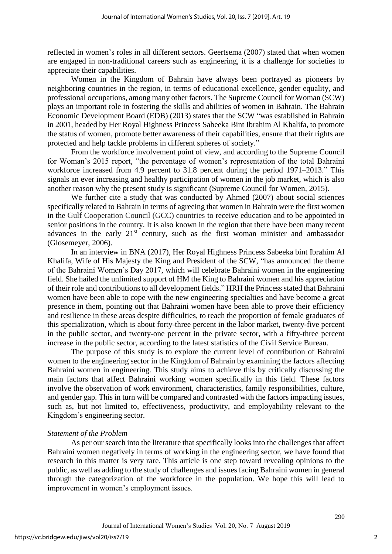reflected in women's roles in all different sectors. Geertsema (2007) stated that when women are engaged in non-traditional careers such as engineering, it is a challenge for societies to appreciate their capabilities.

Women in the Kingdom of Bahrain have always been portrayed as pioneers by neighboring countries in the region, in terms of educational excellence, gender equality, and professional occupations, among many other factors. The Supreme Council for Woman (SCW) plays an important role in fostering the skills and abilities of women in Bahrain. The Bahrain Economic Development Board (EDB) (2013) states that the SCW "was established in Bahrain in 2001, headed by Her Royal Highness Princess Sabeeka Bint Ibrahim Al Khalifa, to promote the status of women, promote better awareness of their capabilities, ensure that their rights are protected and help tackle problems in different spheres of society."

From the workforce involvement point of view, and according to the Supreme Council for Woman's 2015 report, "the percentage of women's representation of the total Bahraini workforce increased from 4.9 percent to 31.8 percent during the period 1971–2013." This signals an ever increasing and healthy participation of women in the job market, which is also another reason why the present study is significant (Supreme Council for Women, 2015).

We further cite a study that was conducted by Ahmed (2007) about social sciences specifically related to Bahrain in terms of agreeing that women in Bahrain were the first women in the Gulf Cooperation Council (GCC) countries to receive education and to be appointed in senior positions in the country. It is also known in the region that there have been many recent advances in the early  $21^{st}$  century, such as the first woman minister and ambassador (Glosemeyer, 2006).

In an interview in BNA (2017), Her Royal Highness Princess Sabeeka bint Ibrahim Al Khalifa, Wife of His Majesty the King and President of the SCW, "has announced the theme of the Bahraini Women's Day 2017, which will celebrate Bahraini women in the engineering field. She hailed the unlimited support of HM the King to Bahraini women and his appreciation of their role and contributions to all development fields." HRH the Princess stated that Bahraini women have been able to cope with the new engineering specialties and have become a great presence in them, pointing out that Bahraini women have been able to prove their efficiency and resilience in these areas despite difficulties, to reach the proportion of female graduates of this specialization, which is about forty-three percent in the labor market, twenty-five percent in the public sector, and twenty-one percent in the private sector, with a fifty-three percent increase in the public sector, according to the latest statistics of the Civil Service Bureau.

The purpose of this study is to explore the current level of contribution of Bahraini women to the engineering sector in the Kingdom of Bahrain by examining the factors affecting Bahraini women in engineering. This study aims to achieve this by critically discussing the main factors that affect Bahraini working women specifically in this field. These factors involve the observation of work environment, characteristics, family responsibilities, culture, and gender gap. This in turn will be compared and contrasted with the factors impacting issues, such as, but not limited to, effectiveness, productivity, and employability relevant to the Kingdom's engineering sector.

### *Statement of the Problem*

As per our search into the literature that specifically looks into the challenges that affect Bahraini women negatively in terms of working in the engineering sector, we have found that research in this matter is very rare. This article is one step toward revealing opinions to the public, as well as adding to the study of challenges and issues facing Bahraini women in general through the categorization of the workforce in the population. We hope this will lead to improvement in women's employment issues.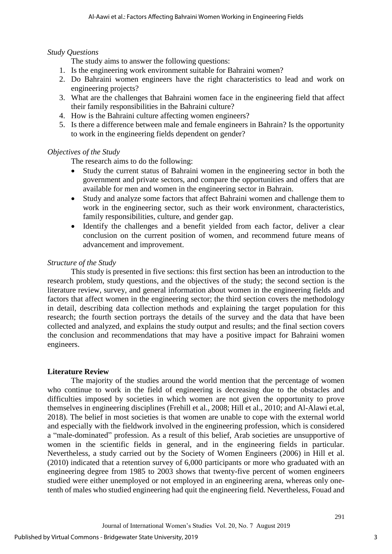# *Study Questions*

The study aims to answer the following questions:

- 1. Is the engineering work environment suitable for Bahraini women?
- 2. Do Bahraini women engineers have the right characteristics to lead and work on engineering projects?
- 3. What are the challenges that Bahraini women face in the engineering field that affect their family responsibilities in the Bahraini culture?
- 4. How is the Bahraini culture affecting women engineers?
- 5. Is there a difference between male and female engineers in Bahrain? Is the opportunity to work in the engineering fields dependent on gender?

# *Objectives of the Study*

The research aims to do the following:

- Study the current status of Bahraini women in the engineering sector in both the government and private sectors, and compare the opportunities and offers that are available for men and women in the engineering sector in Bahrain.
- Study and analyze some factors that affect Bahraini women and challenge them to work in the engineering sector, such as their work environment, characteristics, family responsibilities, culture, and gender gap.
- Identify the challenges and a benefit yielded from each factor, deliver a clear conclusion on the current position of women, and recommend future means of advancement and improvement.

# *Structure of the Study*

This study is presented in five sections: this first section has been an introduction to the research problem, study questions, and the objectives of the study; the second section is the literature review, survey, and general information about women in the engineering fields and factors that affect women in the engineering sector; the third section covers the methodology in detail, describing data collection methods and explaining the target population for this research; the fourth section portrays the details of the survey and the data that have been collected and analyzed, and explains the study output and results; and the final section covers the conclusion and recommendations that may have a positive impact for Bahraini women engineers.

## **Literature Review**

The majority of the studies around the world mention that the percentage of women who continue to work in the field of engineering is decreasing due to the obstacles and difficulties imposed by societies in which women are not given the opportunity to prove themselves in engineering disciplines (Frehill et al., 2008; Hill et al., 2010; and Al-Alawi et.al, 2018). The belief in most societies is that women are unable to cope with the external world and especially with the fieldwork involved in the engineering profession, which is considered a "male-dominated" profession. As a result of this belief, Arab societies are unsupportive of women in the scientific fields in general, and in the engineering fields in particular. Nevertheless, a study carried out by the Society of Women Engineers (2006) in Hill et al. (2010) indicated that a retention survey of 6,000 participants or more who graduated with an engineering degree from 1985 to 2003 shows that twenty-five percent of women engineers studied were either unemployed or not employed in an engineering arena, whereas only onetenth of males who studied engineering had quit the engineering field. Nevertheless, Fouad and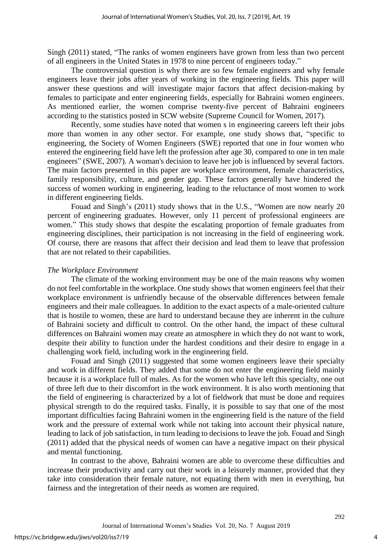Singh (2011) stated, "The ranks of women engineers have grown from less than two percent of all engineers in the United States in 1978 to nine percent of engineers today."

The controversial question is why there are so few female engineers and why female engineers leave their jobs after years of working in the engineering fields. This paper will answer these questions and will investigate major factors that affect decision-making by females to participate and enter engineering fields, especially for Bahraini women engineers. As mentioned earlier, the women comprise twenty-five percent of Bahraini engineers according to the statistics posted in SCW website (Supreme Council for Women, 2017).

Recently, some studies have noted that women s in engineering careers left their jobs more than women in any other sector. For example, one study shows that, "specific to engineering, the Society of Women Engineers (SWE) reported that one in four women who entered the engineering field have left the profession after age 30, compared to one in ten male engineers" (SWE, 2007). A woman's decision to leave her job is influenced by several factors. The main factors presented in this paper are workplace environment, female characteristics, family responsibility, culture, and gender gap. These factors generally have hindered the success of women working in engineering, leading to the reluctance of most women to work in different engineering fields.

Fouad and Singh's (2011) study shows that in the U.S., "Women are now nearly 20 percent of engineering graduates. However, only 11 percent of professional engineers are women." This study shows that despite the escalating proportion of female graduates from engineering disciplines, their participation is not increasing in the field of engineering work. Of course, there are reasons that affect their decision and lead them to leave that profession that are not related to their capabilities.

### *The Workplace Environment*

The climate of the working environment may be one of the main reasons why women do not feel comfortable in the workplace. One study shows that women engineers feel that their workplace environment is unfriendly because of the observable differences between female engineers and their male colleagues. In addition to the exact aspects of a male-oriented culture that is hostile to women, these are hard to understand because they are inherent in the culture of Bahraini society and difficult to control. On the other hand, the impact of these cultural differences on Bahraini women may create an atmosphere in which they do not want to work, despite their ability to function under the hardest conditions and their desire to engage in a challenging work field, including work in the engineering field.

Fouad and Singh (2011) suggested that some women engineers leave their specialty and work in different fields. They added that some do not enter the engineering field mainly because it is a workplace full of males. As for the women who have left this specialty, one out of three left due to their discomfort in the work environment. It is also worth mentioning that the field of engineering is characterized by a lot of fieldwork that must be done and requires physical strength to do the required tasks. Finally, it is possible to say that one of the most important difficulties facing Bahraini women in the engineering field is the nature of the field work and the pressure of external work while not taking into account their physical nature, leading to lack of job satisfaction, in turn leading to decisions to leave the job. Fouad and Singh (2011) added that the physical needs of women can have a negative impact on their physical and mental functioning.

In contrast to the above, Bahraini women are able to overcome these difficulties and increase their productivity and carry out their work in a leisurely manner, provided that they take into consideration their female nature, not equating them with men in everything, but fairness and the integretation of their needs as women are required.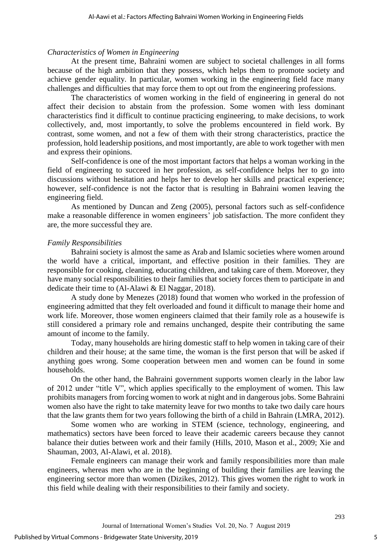### *Characteristics of Women in Engineering*

At the present time, Bahraini women are subject to societal challenges in all forms because of the high ambition that they possess, which helps them to promote society and achieve gender equality. In particular, women working in the engineering field face many challenges and difficulties that may force them to opt out from the engineering professions.

The characteristics of women working in the field of engineering in general do not affect their decision to abstain from the profession. Some women with less dominant characteristics find it difficult to continue practicing engineering, to make decisions, to work collectively, and, most importantly, to solve the problems encountered in field work. By contrast, some women, and not a few of them with their strong characteristics, practice the profession, hold leadership positions, and most importantly, are able to work together with men and express their opinions.

Self-confidence is one of the most important factors that helps a woman working in the field of engineering to succeed in her profession, as self-confidence helps her to go into discussions without hesitation and helps her to develop her skills and practical experience; however, self-confidence is not the factor that is resulting in Bahraini women leaving the engineering field.

As mentioned by Duncan and Zeng (2005), personal factors such as self-confidence make a reasonable difference in women engineers' job satisfaction. The more confident they are, the more successful they are.

## *Family Responsibilities*

Bahraini society is almost the same as Arab and Islamic societies where women around the world have a critical, important, and effective position in their families. They are responsible for cooking, cleaning, educating children, and taking care of them. Moreover, they have many social responsibilities to their families that society forces them to participate in and dedicate their time to (Al-Alawi & El Naggar, 2018).

A study done by Menezes (2018) found that women who worked in the profession of engineering admitted that they felt overloaded and found it difficult to manage their home and work life. Moreover, those women engineers claimed that their family role as a housewife is still considered a primary role and remains unchanged, despite their contributing the same amount of income to the family.

Today, many households are hiring domestic staff to help women in taking care of their children and their house; at the same time, the woman is the first person that will be asked if anything goes wrong. Some cooperation between men and women can be found in some households.

On the other hand, the Bahraini government supports women clearly in the labor law of 2012 under "title V", which applies specifically to the employment of women. This law prohibits managers from forcing women to work at night and in dangerous jobs. Some Bahraini women also have the right to take maternity leave for two months to take two daily care hours that the law grants them for two years following the birth of a child in Bahrain (LMRA, 2012).

Some women who are working in STEM (science, technology, engineering, and mathematics) sectors have been forced to leave their academic careers because they cannot balance their duties between work and their family (Hills, 2010, Mason et al., 2009; Xie and Shauman, 2003, Al-Alawi, et al. 2018).

Female engineers can manage their work and family responsibilities more than male engineers, whereas men who are in the beginning of building their families are leaving the engineering sector more than women (Dizikes, 2012). This gives women the right to work in this field while dealing with their responsibilities to their family and society.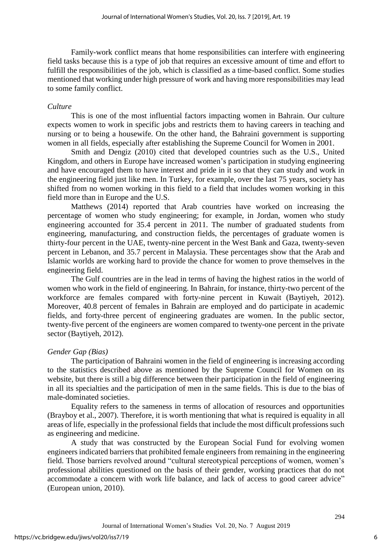Family-work conflict means that home responsibilities can interfere with engineering field tasks because this is a type of job that requires an excessive amount of time and effort to fulfill the responsibilities of the job, which is classified as a time-based conflict. Some studies mentioned that working under high pressure of work and having more responsibilities may lead to some family conflict.

#### *Culture*

This is one of the most influential factors impacting women in Bahrain. Our culture expects women to work in specific jobs and restricts them to having careers in teaching and nursing or to being a housewife. On the other hand, the Bahraini government is supporting women in all fields, especially after establishing the Supreme Council for Women in 2001.

Smith and Dengiz (2010) cited that developed countries such as the U.S., United Kingdom, and others in Europe have increased women's participation in studying engineering and have encouraged them to have interest and pride in it so that they can study and work in the engineering field just like men. In Turkey, for example, over the last 75 years, society has shifted from no women working in this field to a field that includes women working in this field more than in Europe and the U.S.

Matthews (2014) reported that Arab countries have worked on increasing the percentage of women who study engineering; for example, in Jordan, women who study engineering accounted for 35.4 percent in 2011. The number of graduated students from engineering, manufacturing, and construction fields, the percentages of graduate women is thirty-four percent in the UAE, twenty-nine percent in the West Bank and Gaza, twenty-seven percent in Lebanon, and 35.7 percent in Malaysia. These percentages show that the Arab and Islamic worlds are working hard to provide the chance for women to prove themselves in the engineering field.

The Gulf countries are in the lead in terms of having the highest ratios in the world of women who work in the field of engineering. In Bahrain, for instance, thirty-two percent of the workforce are females compared with forty-nine percent in Kuwait (Baytiyeh, 2012). Moreover, 40.8 percent of females in Bahrain are employed and do participate in academic fields, and forty-three percent of engineering graduates are women. In the public sector, twenty-five percent of the engineers are women compared to twenty-one percent in the private sector (Baytiyeh, 2012).

#### *Gender Gap (Bias)*

The participation of Bahraini women in the field of engineering is increasing according to the statistics described above as mentioned by the Supreme Council for Women on its website, but there is still a big difference between their participation in the field of engineering in all its specialties and the participation of men in the same fields. This is due to the bias of male-dominated societies.

Equality refers to the sameness in terms of allocation of resources and opportunities (Brayboy et al., 2007). Therefore, it is worth mentioning that what is required is equality in all areas of life, especially in the professional fields that include the most difficult professions such as engineering and medicine.

A study that was constructed by the European Social Fund for evolving women engineers indicated barriers that prohibited female engineers from remaining in the engineering field. Those barriers revolved around "cultural stereotypical perceptions of women, women's professional abilities questioned on the basis of their gender, working practices that do not accommodate a concern with work life balance, and lack of access to good career advice" (European union, 2010).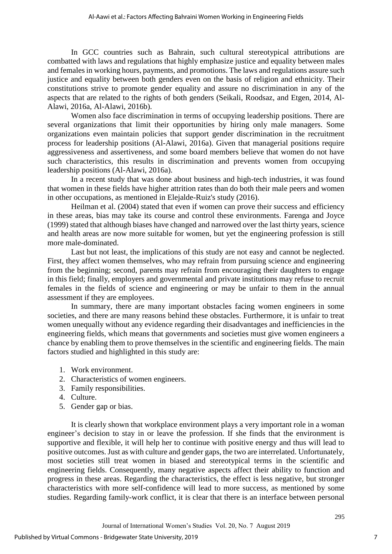In GCC countries such as Bahrain, such cultural stereotypical attributions are combatted with laws and regulations that highly emphasize justice and equality between males and females in working hours, payments, and promotions. The laws and regulations assure such justice and equality between both genders even on the basis of religion and ethnicity. Their constitutions strive to promote gender equality and assure no discrimination in any of the aspects that are related to the rights of both genders (Seikali, Roodsaz, and Etgen, 2014, Al-Alawi, 2016a, Al-Alawi, 2016b).

Women also face discrimination in terms of occupying leadership positions. There are several organizations that limit their opportunities by hiring only male managers. Some organizations even maintain policies that support gender discrimination in the recruitment process for leadership positions (Al-Alawi, 2016a). Given that managerial positions require aggressiveness and assertiveness, and some board members believe that women do not have such characteristics, this results in discrimination and prevents women from occupying leadership positions (Al-Alawi, 2016a).

In a recent study that was done about business and high-tech industries, it was found that women in these fields have higher attrition rates than do both their male peers and women in other occupations, as mentioned in Elejalde-Ruiz's study (2016).

Heilman et al. (2004) stated that even if women can prove their success and efficiency in these areas, bias may take its course and control these environments. Farenga and Joyce (1999) stated that although biases have changed and narrowed over the last thirty years, science and health areas are now more suitable for women, but yet the engineering profession is still more male-dominated.

Last but not least, the implications of this study are not easy and cannot be neglected. First, they affect women themselves, who may refrain from pursuing science and engineering from the beginning; second, parents may refrain from encouraging their daughters to engage in this field; finally, employers and governmental and private institutions may refuse to recruit females in the fields of science and engineering or may be unfair to them in the annual assessment if they are employees.

In summary, there are many important obstacles facing women engineers in some societies, and there are many reasons behind these obstacles. Furthermore, it is unfair to treat women unequally without any evidence regarding their disadvantages and inefficiencies in the engineering fields, which means that governments and societies must give women engineers a chance by enabling them to prove themselves in the scientific and engineering fields. The main factors studied and highlighted in this study are:

- 1. Work environment.
- 2. Characteristics of women engineers.
- 3. Family responsibilities.
- 4. Culture.
- 5. Gender gap or bias.

It is clearly shown that workplace environment plays a very important role in a woman engineer's decision to stay in or leave the profession. If she finds that the environment is supportive and flexible, it will help her to continue with positive energy and thus will lead to positive outcomes. Just as with culture and gender gaps, the two are interrelated. Unfortunately, most societies still treat women in biased and stereotypical terms in the scientific and engineering fields. Consequently, many negative aspects affect their ability to function and progress in these areas. Regarding the characteristics, the effect is less negative, but stronger characteristics with more self-confidence will lead to more success, as mentioned by some studies. Regarding family-work conflict, it is clear that there is an interface between personal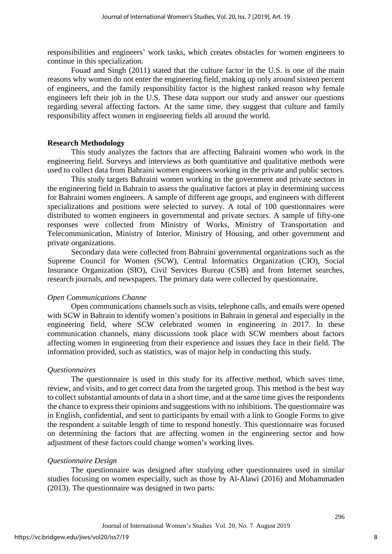responsibilities and engineers' work tasks, which creates obstacles for women engineers to continue in this specialization.

Fouad and Singh (2011) stated that the culture factor in the U.S. is one of the main reasons why women do not enter the engineering field, making up only around sixteen percent of engineers, and the family responsibility factor is the highest ranked reason why female engineers left their job in the U.S. These data support our study and answer our questions regarding several affecting factors. At the same time, they suggest that culture and family responsibility affect women in engineering fields all around the world.

### **Research Methodology**

This study analyzes the factors that are affecting Bahraini women who work in the engineering field. Surveys and interviews as both quantitative and qualitative methods were used to collect data from Bahraini women engineers working in the private and public sectors.

This study targets Bahraini women working in the government and private sectors in the engineering field in Bahrain to assess the qualitative factors at play in determining success for Bahraini women engineers. A sample of different age groups, and engineers with different specializations and positions were selected to survey. A total of 100 questionnaires were distributed to women engineers in governmental and private sectors. A sample of fifty-one responses were collected from Ministry of Works, Ministry of Transportation and Telecommunication, Ministry of Interior, Ministry of Housing, and other government and private organizations.

Secondary data were collected from Bahraini governmental organizations such as the Supreme Council for Women (SCW), Central Informatics Organization (CIO), Social Insurance Organization (SIO), Civil Services Bureau (CSB) and from Internet searches, research journals, and newspapers. The primary data were collected by questionnaire.

### *Open Communications Channe*

Open communications channels such as visits, telephone calls, and emails were opened with SCW in Bahrain to identify women's positions in Bahrain in general and especially in the engineering field, where SCW celebrated women in engineering in 2017. In these communication channels, many discussions took place with SCW members about factors affecting women in engineering from their experience and issues they face in their field. The information provided, such as statistics, was of major help in conducting this study.

### *Questionnaires*

The questionnaire is used in this study for its affective method, which saves time, review, and visits, and to get correct data from the targeted group. This method is the best way to collect substantial amounts of data in a short time, and at the same time gives the respondents the chance to express their opinions and suggestions with no inhibitions. The questionnaire was in English, confidential, and sent to participants by email with a link to Google Forms to give the respondent a suitable length of time to respond honestly. This questionnaire was focused on determining the factors that are affecting women in the engineering sector and how adjustment of these factors could change women's working lives.

### *Questionnaire Design*

The questionnaire was designed after studying other questionnaires used in similar studies focusing on women especially, such as those by Al-Alawi (2016) and Mohammaden (2013). The questionnaire was designed in two parts: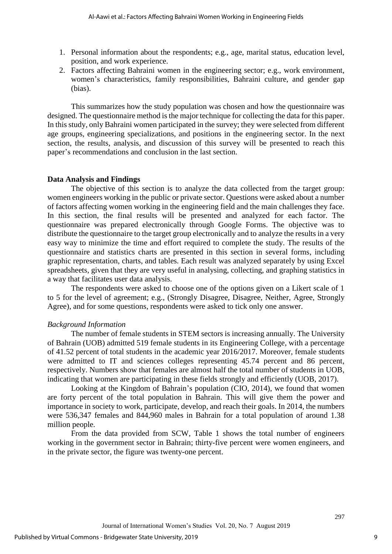- 1. Personal information about the respondents; e.g., age, marital status, education level, position, and work experience.
- 2. Factors affecting Bahraini women in the engineering sector; e.g., work environment, women's characteristics, family responsibilities, Bahraini culture, and gender gap (bias).

This summarizes how the study population was chosen and how the questionnaire was designed. The questionnaire method is the major technique for collecting the data for this paper. In this study, only Bahraini women participated in the survey; they were selected from different age groups, engineering specializations, and positions in the engineering sector. In the next section, the results, analysis, and discussion of this survey will be presented to reach this paper's recommendations and conclusion in the last section.

### **Data Analysis and Findings**

The objective of this section is to analyze the data collected from the target group: women engineers working in the public or private sector. Questions were asked about a number of factors affecting women working in the engineering field and the main challenges they face. In this section, the final results will be presented and analyzed for each factor. The questionnaire was prepared electronically through Google Forms. The objective was to distribute the questionnaire to the target group electronically and to analyze the results in a very easy way to minimize the time and effort required to complete the study. The results of the questionnaire and statistics charts are presented in this section in several forms, including graphic representation, charts, and tables. Each result was analyzed separately by using Excel spreadsheets, given that they are very useful in analysing, collecting, and graphing statistics in a way that facilitates user data analysis.

The respondents were asked to choose one of the options given on a Likert scale of 1 to 5 for the level of agreement; e.g., (Strongly Disagree, Disagree, Neither, Agree, Strongly Agree), and for some questions, respondents were asked to tick only one answer.

### *Background Information*

The number of female students in STEM sectors is increasing annually. The University of Bahrain (UOB) admitted 519 female students in its Engineering College, with a percentage of 41.52 percent of total students in the academic year 2016/2017. Moreover, female students were admitted to IT and sciences colleges representing 45.74 percent and 86 percent, respectively. Numbers show that females are almost half the total number of students in UOB, indicating that women are participating in these fields strongly and efficiently (UOB, 2017).

Looking at the Kingdom of Bahrain's population (CIO, 2014), we found that women are forty percent of the total population in Bahrain. This will give them the power and importance in society to work, participate, develop, and reach their goals. In 2014, the numbers were 536,347 females and 844,960 males in Bahrain for a total population of around 1.38 million people.

From the data provided from SCW, Table 1 shows the total number of engineers working in the government sector in Bahrain; thirty-five percent were women engineers, and in the private sector, the figure was twenty-one percent.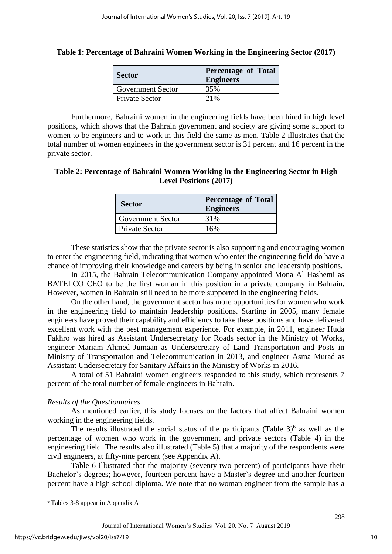| Table 1: Percentage of Bahraini Women Working in the Engineering Sector (2017) |  |  |  |  |
|--------------------------------------------------------------------------------|--|--|--|--|
|                                                                                |  |  |  |  |

| <b>Sector</b>         | <b>Percentage of Total</b><br><b>Engineers</b> |  |  |  |  |
|-----------------------|------------------------------------------------|--|--|--|--|
| Government Sector     | 35%                                            |  |  |  |  |
| <b>Private Sector</b> | 21%                                            |  |  |  |  |

Furthermore, Bahraini women in the engineering fields have been hired in high level positions, which shows that the Bahrain government and society are giving some support to women to be engineers and to work in this field the same as men. Table 2 illustrates that the total number of women engineers in the government sector is 31 percent and 16 percent in the private sector.

# **Table 2: Percentage of Bahraini Women Working in the Engineering Sector in High Level Positions (2017)**

| <b>Sector</b>            | <b>Percentage of Total</b><br><b>Engineers</b> |
|--------------------------|------------------------------------------------|
| <b>Government Sector</b> | 31%                                            |
| Private Sector           | 16%                                            |

These statistics show that the private sector is also supporting and encouraging women to enter the engineering field, indicating that women who enter the engineering field do have a chance of improving their knowledge and careers by being in senior and leadership positions.

In 2015, the Bahrain Telecommunication Company appointed Mona Al Hashemi as BATELCO CEO to be the first woman in this position in a private company in Bahrain. However, women in Bahrain still need to be more supported in the engineering fields.

On the other hand, the government sector has more opportunities for women who work in the engineering field to maintain leadership positions. Starting in 2005, many female engineers have proved their capability and efficiency to take these positions and have delivered excellent work with the best management experience. For example, in 2011, engineer Huda Fakhro was hired as Assistant Undersecretary for Roads sector in the Ministry of Works, engineer Mariam Ahmed Jumaan as Undersecretary of Land Transportation and Posts in Ministry of Transportation and Telecommunication in 2013, and engineer Asma Murad as Assistant Undersecretary for Sanitary Affairs in the Ministry of Works in 2016.

A total of 51 Bahraini women engineers responded to this study, which represents 7 percent of the total number of female engineers in Bahrain.

## *Results of the Questionnaires*

As mentioned earlier, this study focuses on the factors that affect Bahraini women working in the engineering fields.

The results illustrated the social status of the participants (Table  $3)$ <sup>6</sup> as well as the percentage of women who work in the government and private sectors (Table 4) in the engineering field. The results also illustrated (Table 5) that a majority of the respondents were civil engineers, at fifty-nine percent (see Appendix A).

Table 6 illustrated that the majority (seventy-two percent) of participants have their Bachelor's degrees; however, fourteen percent have a Master's degree and another fourteen percent have a high school diploma. We note that no woman engineer from the sample has a

 $\overline{\phantom{a}}$ 

<sup>6</sup> Tables 3-8 appear in Appendix A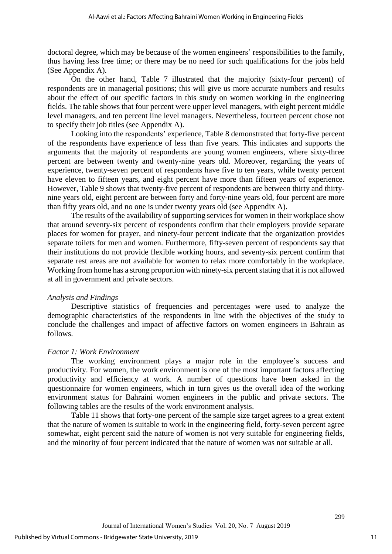doctoral degree, which may be because of the women engineers' responsibilities to the family, thus having less free time; or there may be no need for such qualifications for the jobs held (See Appendix A).

On the other hand, Table 7 illustrated that the majority (sixty-four percent) of respondents are in managerial positions; this will give us more accurate numbers and results about the effect of our specific factors in this study on women working in the engineering fields. The table shows that four percent were upper level managers, with eight percent middle level managers, and ten percent line level managers. Nevertheless, fourteen percent chose not to specify their job titles (see Appendix A).

Looking into the respondents' experience, Table 8 demonstrated that forty-five percent of the respondents have experience of less than five years. This indicates and supports the arguments that the majority of respondents are young women engineers, where sixty-three percent are between twenty and twenty-nine years old. Moreover, regarding the years of experience, twenty-seven percent of respondents have five to ten years, while twenty percent have eleven to fifteen years, and eight percent have more than fifteen years of experience. However, Table 9 shows that twenty-five percent of respondents are between thirty and thirtynine years old, eight percent are between forty and forty-nine years old, four percent are more than fifty years old, and no one is under twenty years old (see Appendix A).

The results of the availability of supporting services for women in their workplace show that around seventy-six percent of respondents confirm that their employers provide separate places for women for prayer, and ninety-four percent indicate that the organization provides separate toilets for men and women. Furthermore, fifty-seven percent of respondents say that their institutions do not provide flexible working hours, and seventy-six percent confirm that separate rest areas are not available for women to relax more comfortably in the workplace. Working from home has a strong proportion with ninety-six percent stating that it is not allowed at all in government and private sectors.

## *Analysis and Findings*

Descriptive statistics of frequencies and percentages were used to analyze the demographic characteristics of the respondents in line with the objectives of the study to conclude the challenges and impact of affective factors on women engineers in Bahrain as follows.

## *Factor 1: Work Environment*

The working environment plays a major role in the employee's success and productivity. For women, the work environment is one of the most important factors affecting productivity and efficiency at work. A number of questions have been asked in the questionnaire for women engineers, which in turn gives us the overall idea of the working environment status for Bahraini women engineers in the public and private sectors. The following tables are the results of the work environment analysis.

Table 11 shows that forty-one percent of the sample size target agrees to a great extent that the nature of women is suitable to work in the engineering field, forty-seven percent agree somewhat, eight percent said the nature of women is not very suitable for engineering fields, and the minority of four percent indicated that the nature of women was not suitable at all.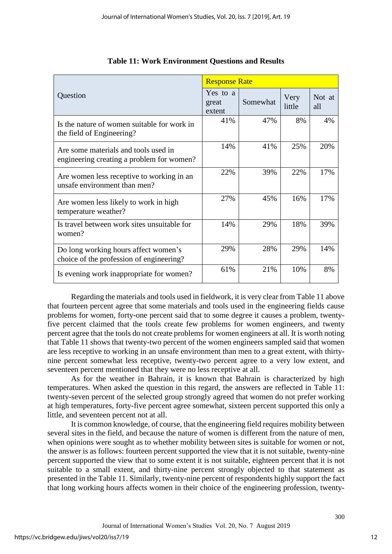|                                                                                   | <b>Response Rate</b>        |          |                |               |  |  |
|-----------------------------------------------------------------------------------|-----------------------------|----------|----------------|---------------|--|--|
| Question                                                                          | Yes to a<br>great<br>extent | Somewhat | Very<br>little | Not at<br>all |  |  |
| Is the nature of women suitable for work in<br>the field of Engineering?          | 41%                         | 47%      | 8%             | 4%            |  |  |
| Are some materials and tools used in<br>engineering creating a problem for women? | 14%                         | 41%      | 25%            | 20%           |  |  |
| Are women less receptive to working in an<br>unsafe environment than men?         | 22%                         | 39%      | 22%            | 17%           |  |  |
| Are women less likely to work in high<br>temperature weather?                     | 27%                         | 45%      | 16%            | 17%           |  |  |
| Is travel between work sites unsuitable for<br>women?                             | 14%                         | 29%      | 18%            | 39%           |  |  |
| Do long working hours affect women's<br>choice of the profession of engineering?  | 29%                         | 28%      | 29%            | 14%           |  |  |
| Is evening work inappropriate for women?                                          | 61%                         | 21%      | 10%            | 8%            |  |  |

|  |  | <b>Table 11: Work Environment Questions and Results</b> |  |
|--|--|---------------------------------------------------------|--|
|  |  |                                                         |  |

Regarding the materials and tools used in fieldwork, it is very clear from Table 11 above that fourteen percent agree that some materials and tools used in the engineering fields cause problems for women, forty-one percent said that to some degree it causes a problem, twentyfive percent claimed that the tools create few problems for women engineers, and twenty percent agree that the tools do not create problems for women engineers at all. It is worth noting that Table 11 shows that twenty-two percent of the women engineers sampled said that women are less receptive to working in an unsafe environment than men to a great extent, with thirtynine percent somewhat less receptive, twenty-two percent agree to a very low extent, and seventeen percent mentioned that they were no less receptive at all.

As for the weather in Bahrain, it is known that Bahrain is characterized by high temperatures. When asked the question in this regard, the answers are reflected in Table 11: twenty-seven percent of the selected group strongly agreed that women do not prefer working at high temperatures, forty-five percent agree somewhat, sixteen percent supported this only a little, and seventeen percent not at all.

It is common knowledge, of course, that the engineering field requires mobility between several sites in the field, and because the nature of women is different from the nature of men, when opinions were sought as to whether mobility between sites is suitable for women or not, the answer is as follows: fourteen percent supported the view that it is not suitable, twenty-nine percent supported the view that to some extent it is not suitable, eighteen percent that it is not suitable to a small extent, and thirty-nine percent strongly objected to that statement as presented in the Table 11. Similarly, twenty-nine percent of respondents highly support the fact that long working hours affects women in their choice of the engineering profession, twenty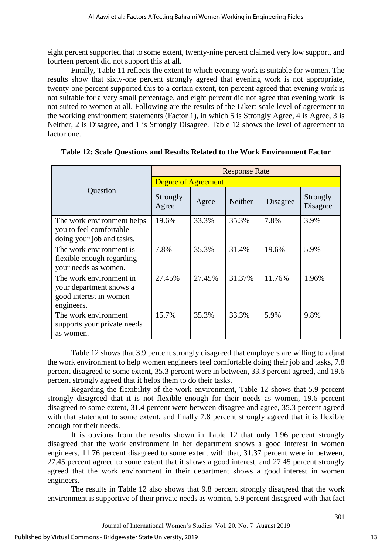eight percent supported that to some extent, twenty-nine percent claimed very low support, and fourteen percent did not support this at all.

Finally, Table 11 reflects the extent to which evening work is suitable for women. The results show that sixty-one percent strongly agreed that evening work is not appropriate, twenty-one percent supported this to a certain extent, ten percent agreed that evening work is not suitable for a very small percentage, and eight percent did not agree that evening work is not suited to women at all. Following are the results of the Likert scale level of agreement to the working environment statements (Factor 1), in which 5 is Strongly Agree, 4 is Agree, 3 is Neither, 2 is Disagree, and 1 is Strongly Disagree. Table 12 shows the level of agreement to factor one.

|                                                                                            | <b>Response Rate</b>       |        |                |          |                      |  |  |
|--------------------------------------------------------------------------------------------|----------------------------|--------|----------------|----------|----------------------|--|--|
|                                                                                            | <b>Degree of Agreement</b> |        |                |          |                      |  |  |
| Question                                                                                   | Strongly<br>Agree          | Agree  | <b>Neither</b> | Disagree | Strongly<br>Disagree |  |  |
| The work environment helps<br>you to feel comfortable<br>doing your job and tasks.         | 19.6%                      | 33.3%  | 35.3%          | 7.8%     | 3.9%                 |  |  |
| The work environment is<br>flexible enough regarding<br>your needs as women.               | 7.8%                       | 35.3%  | 31.4%          | 19.6%    | 5.9%                 |  |  |
| The work environment in<br>your department shows a<br>good interest in women<br>engineers. | 27.45%                     | 27.45% | 31.37%         | 11.76%   | 1.96%                |  |  |
| The work environment<br>supports your private needs<br>as women.                           | 15.7%                      | 35.3%  | 33.3%          | 5.9%     | 9.8%                 |  |  |

|  | Table 12: Scale Questions and Results Related to the Work Environment Factor |  |  |  |
|--|------------------------------------------------------------------------------|--|--|--|
|  |                                                                              |  |  |  |
|  |                                                                              |  |  |  |

Table 12 shows that 3.9 percent strongly disagreed that employers are willing to adjust the work environment to help women engineers feel comfortable doing their job and tasks, 7.8 percent disagreed to some extent, 35.3 percent were in between, 33.3 percent agreed, and 19.6 percent strongly agreed that it helps them to do their tasks.

Regarding the flexibility of the work environment, Table 12 shows that 5.9 percent strongly disagreed that it is not flexible enough for their needs as women, 19.6 percent disagreed to some extent, 31.4 percent were between disagree and agree, 35.3 percent agreed with that statement to some extent, and finally 7.8 percent strongly agreed that it is flexible enough for their needs.

It is obvious from the results shown in Table 12 that only 1.96 percent strongly disagreed that the work environment in her department shows a good interest in women engineers, 11.76 percent disagreed to some extent with that, 31.37 percent were in between, 27.45 percent agreed to some extent that it shows a good interest, and 27.45 percent strongly agreed that the work environment in their department shows a good interest in women engineers.

The results in Table 12 also shows that 9.8 percent strongly disagreed that the work environment is supportive of their private needs as women, 5.9 percent disagreed with that fact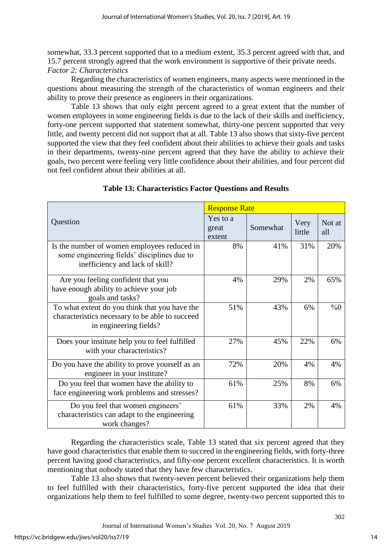somewhat, 33.3 percent supported that to a medium extent, 35.3 percent agreed with that, and 15.7 percent strongly agreed that the work environment is supportive of their private needs. *Factor 2: Characteristics*

Regarding the characteristics of women engineers, many aspects were mentioned in the questions about measuring the strength of the characteristics of woman engineers and their ability to prove their presence as engineers in their organizations.

Table 13 shows that only eight percent agreed to a great extent that the number of women employees in some engineering fields is due to the lack of their skills and inefficiency, forty-one percent supported that statement somewhat, thirty-one percent supported that very little, and twenty percent did not support that at all. Table 13 also shows that sixty-five percent supported the view that they feel confident about their abilities to achieve their goals and tasks in their departments, twenty-nine percent agreed that they have the ability to achieve their goals, two percent were feeling very little confidence about their abilities, and four percent did not feel confident about their abilities at all.

|                                                                                                                               | <b>Response Rate</b>        |          |                |               |  |  |
|-------------------------------------------------------------------------------------------------------------------------------|-----------------------------|----------|----------------|---------------|--|--|
| Question                                                                                                                      | Yes to a<br>great<br>extent | Somewhat | Very<br>little | Not at<br>all |  |  |
| Is the number of women employees reduced in<br>some engineering fields' disciplines due to<br>inefficiency and lack of skill? | 8%                          | 41%      | 31%            | 20%           |  |  |
| Are you feeling confident that you<br>have enough ability to achieve your job<br>goals and tasks?                             | 4%                          | 29%      | 2%             | 65%           |  |  |
| To what extent do you think that you have the<br>characteristics necessary to be able to succeed<br>in engineering fields?    | 51%                         | 43%      | 6%             | $\%0$         |  |  |
| Does your institute help you to feel fulfilled<br>with your characteristics?                                                  | 27%                         | 45%      | 22%            | 6%            |  |  |
| Do you have the ability to prove yourself as an<br>engineer in your institute?                                                | 72%                         | 20%      | 4%             | 4%            |  |  |
| Do you feel that women have the ability to<br>face engineering work problems and stresses?                                    | 61%                         | 25%      | 8%             | 6%            |  |  |
| Do you feel that women engineers'<br>characteristics can adapt to the engineering<br>work changes?                            | 61%                         | 33%      | 2%             | 4%            |  |  |

# **Table 13: Characteristics Factor Questions and Results**

Regarding the characteristics scale, Table 13 stated that six percent agreed that they have good characteristics that enable them to succeed in the engineering fields, with forty-three percent having good characteristics, and fifty-one percent excellent characteristics. It is worth mentioning that nobody stated that they have few characteristics.

Table 13 also shows that twenty-seven percent believed their organizations help them to feel fulfilled with their characteristics, forty-five percent supported the idea that their organizations help them to feel fulfilled to some degree, twenty-two percent supported this to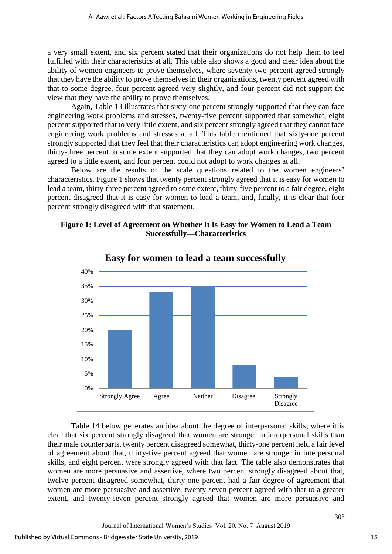a very small extent, and six percent stated that their organizations do not help them to feel fulfilled with their characteristics at all. This table also shows a good and clear idea about the ability of women engineers to prove themselves, where seventy-two percent agreed strongly that they have the ability to prove themselves in their organizations, twenty percent agreed with that to some degree, four percent agreed very slightly, and four percent did not support the view that they have the ability to prove themselves.

Again, Table 13 illustrates that sixty-one percent strongly supported that they can face engineering work problems and stresses, twenty-five percent supported that somewhat, eight percent supported that to very little extent, and six percent strongly agreed that they cannot face engineering work problems and stresses at all. This table mentioned that sixty-one percent strongly supported that they feel that their characteristics can adopt engineering work changes, thirty-three percent to some extent supported that they can adopt work changes, two percent agreed to a little extent, and four percent could not adopt to work changes at all.

Below are the results of the scale questions related to the women engineers' characteristics. Figure 1 shows that twenty percent strongly agreed that it is easy for women to lead a team, thirty-three percent agreed to some extent, thirty-five percent to a fair degree, eight percent disagreed that it is easy for women to lead a team, and, finally, it is clear that four percent strongly disagreed with that statement.





Table 14 below generates an idea about the degree of interpersonal skills, where it is clear that six percent strongly disagreed that women are stronger in interpersonal skills than their male counterparts, twenty percent disagreed somewhat, thirty-one percent held a fair level of agreement about that, thirty-five percent agreed that women are stronger in interpersonal skills, and eight percent were strongly agreed with that fact. The table also demonstrates that women are more persuasive and assertive, where two percent strongly disagreed about that, twelve percent disagreed somewhat, thirty-one percent had a fair degree of agreement that women are more persuasive and assertive, twenty-seven percent agreed with that to a greater extent, and twenty-seven percent strongly agreed that women are more persuasive and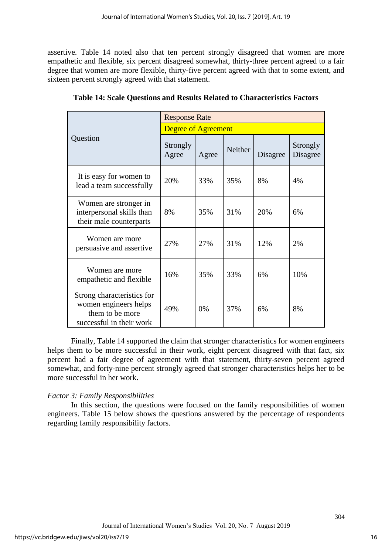assertive. Table 14 noted also that ten percent strongly disagreed that women are more empathetic and flexible, six percent disagreed somewhat, thirty-three percent agreed to a fair degree that women are more flexible, thirty-five percent agreed with that to some extent, and sixteen percent strongly agreed with that statement.

|                                                                                                    | <b>Response Rate</b>       |       |         |          |                      |  |  |
|----------------------------------------------------------------------------------------------------|----------------------------|-------|---------|----------|----------------------|--|--|
|                                                                                                    | <b>Degree of Agreement</b> |       |         |          |                      |  |  |
| Question                                                                                           | Strongly<br>Agree          | Agree | Neither | Disagree | Strongly<br>Disagree |  |  |
| It is easy for women to<br>lead a team successfully                                                | 20%                        | 33%   | 35%     | 8%       | 4%                   |  |  |
| Women are stronger in<br>interpersonal skills than<br>their male counterparts                      | 8%                         | 35%   | 31%     | 20%      | 6%                   |  |  |
| Women are more<br>persuasive and assertive                                                         | 27%                        | 27%   | 31%     | 12%      | 2%                   |  |  |
| Women are more<br>empathetic and flexible                                                          | 16%                        | 35%   | 33%     | 6%       | 10%                  |  |  |
| Strong characteristics for<br>women engineers helps<br>them to be more<br>successful in their work | 49%                        | 0%    | 37%     | 6%       | 8%                   |  |  |

**Table 14: Scale Questions and Results Related to Characteristics Factors**

Finally, Table 14 supported the claim that stronger characteristics for women engineers helps them to be more successful in their work, eight percent disagreed with that fact, six percent had a fair degree of agreement with that statement, thirty-seven percent agreed somewhat, and forty-nine percent strongly agreed that stronger characteristics helps her to be more successful in her work.

# *Factor 3: Family Responsibilities*

In this section, the questions were focused on the family responsibilities of women engineers. Table 15 below shows the questions answered by the percentage of respondents regarding family responsibility factors.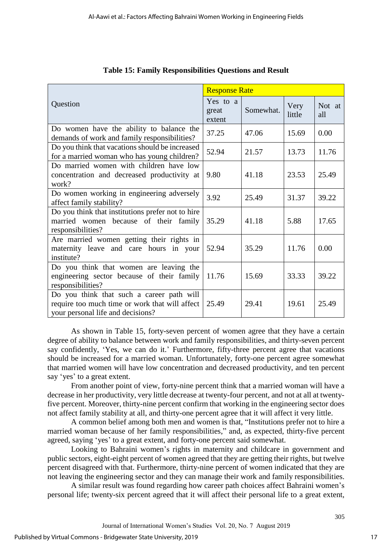|                                                                                                                                  | <b>Response Rate</b>        |           |                |               |  |
|----------------------------------------------------------------------------------------------------------------------------------|-----------------------------|-----------|----------------|---------------|--|
| Question                                                                                                                         | Yes to a<br>great<br>extent | Somewhat. | Very<br>little | Not at<br>all |  |
| Do women have the ability to balance the<br>demands of work and family responsibilities?                                         | 37.25                       | 47.06     | 15.69          | 0.00          |  |
| Do you think that vacations should be increased<br>for a married woman who has young children?                                   | 52.94                       | 21.57     | 13.73          | 11.76         |  |
| Do married women with children have low<br>concentration and decreased productivity at<br>work?                                  | 9.80                        | 41.18     | 23.53          | 25.49         |  |
| Do women working in engineering adversely<br>affect family stability?                                                            | 3.92                        | 25.49     | 31.37          | 39.22         |  |
| Do you think that institutions prefer not to hire<br>married women because of their family<br>responsibilities?                  | 35.29                       | 41.18     | 5.88           | 17.65         |  |
| Are married women getting their rights in<br>maternity leave and care hours in your<br>institute?                                | 52.94                       | 35.29     | 11.76          | 0.00          |  |
| Do you think that women are leaving the<br>engineering sector because of their family<br>responsibilities?                       | 11.76                       | 15.69     | 33.33          | 39.22         |  |
| Do you think that such a career path will<br>require too much time or work that will affect<br>your personal life and decisions? | 25.49                       | 29.41     | 19.61          | 25.49         |  |

|  | <b>Table 15: Family Responsibilities Questions and Result</b> |  |
|--|---------------------------------------------------------------|--|
|  |                                                               |  |
|  |                                                               |  |

As shown in Table 15, forty-seven percent of women agree that they have a certain degree of ability to balance between work and family responsibilities, and thirty-seven percent say confidently, 'Yes, we can do it.' Furthermore, fifty-three percent agree that vacations should be increased for a married woman. Unfortunately, forty-one percent agree somewhat that married women will have low concentration and decreased productivity, and ten percent say 'yes' to a great extent.

From another point of view, forty-nine percent think that a married woman will have a decrease in her productivity, very little decrease at twenty-four percent, and not at all at twentyfive percent. Moreover, thirty-nine percent confirm that working in the engineering sector does not affect family stability at all, and thirty-one percent agree that it will affect it very little.

A common belief among both men and women is that, "Institutions prefer not to hire a married woman because of her family responsibilities," and, as expected, thirty-five percent agreed, saying 'yes' to a great extent, and forty-one percent said somewhat.

Looking to Bahraini women's rights in maternity and childcare in government and public sectors, eight-eight percent of women agreed that they are getting their rights, but twelve percent disagreed with that. Furthermore, thirty-nine percent of women indicated that they are not leaving the engineering sector and they can manage their work and family responsibilities.

A similar result was found regarding how career path choices affect Bahraini women's personal life; twenty-six percent agreed that it will affect their personal life to a great extent,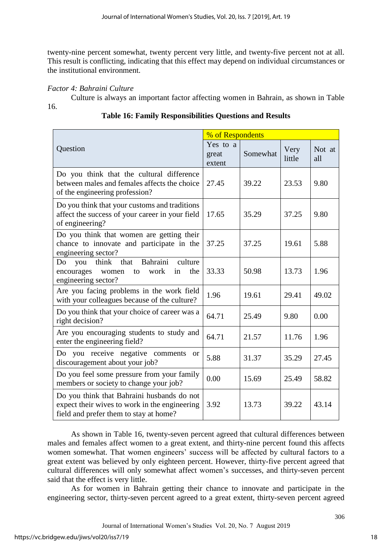twenty-nine percent somewhat, twenty percent very little, and twenty-five percent not at all. This result is conflicting, indicating that this effect may depend on individual circumstances or the institutional environment.

# *Factor 4: Bahraini Culture*

16.

| Culture is always an important factor affecting women in Bahrain, as shown in Table |  |  |  |
|-------------------------------------------------------------------------------------|--|--|--|
|                                                                                     |  |  |  |

|                                                                                                                                       | % of Respondents            |          |                |               |
|---------------------------------------------------------------------------------------------------------------------------------------|-----------------------------|----------|----------------|---------------|
| Question                                                                                                                              | Yes to a<br>great<br>extent | Somewhat | Very<br>little | Not at<br>all |
| Do you think that the cultural difference<br>between males and females affects the choice<br>of the engineering profession?           | 27.45                       | 39.22    | 23.53          | 9.80          |
| Do you think that your customs and traditions<br>affect the success of your career in your field<br>of engineering?                   | 17.65                       | 35.29    | 37.25          | 9.80          |
| Do you think that women are getting their<br>chance to innovate and participate in the<br>engineering sector?                         | 37.25                       | 37.25    | 19.61          | 5.88          |
| Bahraini<br>culture<br>think<br>Do<br>that<br>you<br>encourages<br>work<br>the<br>in<br>women<br>to<br>engineering sector?            | 33.33                       | 50.98    | 13.73          | 1.96          |
| Are you facing problems in the work field<br>with your colleagues because of the culture?                                             | 1.96                        | 19.61    | 29.41          | 49.02         |
| Do you think that your choice of career was a<br>right decision?                                                                      | 64.71                       | 25.49    | 9.80           | 0.00          |
| Are you encouraging students to study and<br>enter the engineering field?                                                             | 64.71                       | 21.57    | 11.76          | 1.96          |
| Do you receive negative comments<br><sub>or</sub><br>discouragement about your job?                                                   | 5.88                        | 31.37    | 35.29          | 27.45         |
| Do you feel some pressure from your family<br>members or society to change your job?                                                  | 0.00                        | 15.69    | 25.49          | 58.82         |
| Do you think that Bahraini husbands do not<br>expect their wives to work in the engineering<br>field and prefer them to stay at home? | 3.92                        | 13.73    | 39.22          | 43.14         |

# **Table 16: Family Responsibilities Questions and Results**

As shown in Table 16, twenty-seven percent agreed that cultural differences between males and females affect women to a great extent, and thirty-nine percent found this affects women somewhat. That women engineers' success will be affected by cultural factors to a great extent was believed by only eighteen percent. However, thirty-five percent agreed that cultural differences will only somewhat affect women's successes, and thirty-seven percent said that the effect is very little.

As for women in Bahrain getting their chance to innovate and participate in the engineering sector, thirty-seven percent agreed to a great extent, thirty-seven percent agreed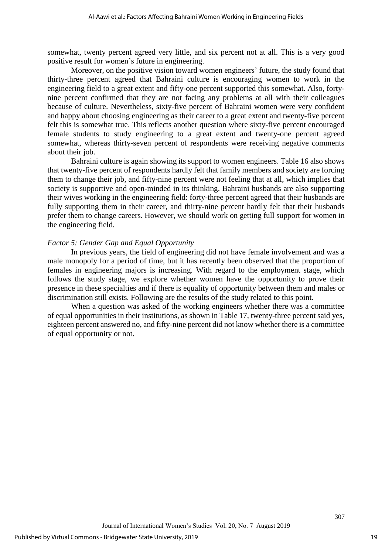somewhat, twenty percent agreed very little, and six percent not at all. This is a very good positive result for women's future in engineering.

Moreover, on the positive vision toward women engineers' future, the study found that thirty-three percent agreed that Bahraini culture is encouraging women to work in the engineering field to a great extent and fifty-one percent supported this somewhat. Also, fortynine percent confirmed that they are not facing any problems at all with their colleagues because of culture. Nevertheless, sixty-five percent of Bahraini women were very confident and happy about choosing engineering as their career to a great extent and twenty-five percent felt this is somewhat true. This reflects another question where sixty-five percent encouraged female students to study engineering to a great extent and twenty-one percent agreed somewhat, whereas thirty-seven percent of respondents were receiving negative comments about their job.

Bahraini culture is again showing its support to women engineers. Table 16 also shows that twenty-five percent of respondents hardly felt that family members and society are forcing them to change their job, and fifty-nine percent were not feeling that at all, which implies that society is supportive and open-minded in its thinking. Bahraini husbands are also supporting their wives working in the engineering field: forty-three percent agreed that their husbands are fully supporting them in their career, and thirty-nine percent hardly felt that their husbands prefer them to change careers. However, we should work on getting full support for women in the engineering field.

### *Factor 5: Gender Gap and Equal Opportunity*

In previous years, the field of engineering did not have female involvement and was a male monopoly for a period of time, but it has recently been observed that the proportion of females in engineering majors is increasing. With regard to the employment stage, which follows the study stage, we explore whether women have the opportunity to prove their presence in these specialties and if there is equality of opportunity between them and males or discrimination still exists. Following are the results of the study related to this point.

When a question was asked of the working engineers whether there was a committee of equal opportunities in their institutions, as shown in Table 17, twenty-three percent said yes, eighteen percent answered no, and fifty-nine percent did not know whether there is a committee of equal opportunity or not.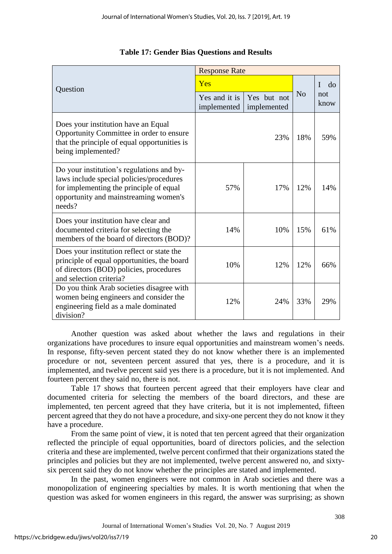|                                                                                                                                                                                     | <b>Response Rate</b>         |                            |                |             |
|-------------------------------------------------------------------------------------------------------------------------------------------------------------------------------------|------------------------------|----------------------------|----------------|-------------|
| Question                                                                                                                                                                            | Yes                          |                            | T<br>$d\sigma$ |             |
|                                                                                                                                                                                     | Yes and it is<br>implemented | Yes but not<br>implemented | N <sub>0</sub> | not<br>know |
| Does your institution have an Equal<br>Opportunity Committee in order to ensure<br>that the principle of equal opportunities is<br>being implemented?                               |                              | 23%                        | 18%            | 59%         |
| Do your institution's regulations and by-<br>laws include special policies/procedures<br>for implementing the principle of equal<br>opportunity and mainstreaming women's<br>needs? | 57%                          | 17%                        | 12%            | 14%         |
| Does your institution have clear and<br>documented criteria for selecting the<br>members of the board of directors (BOD)?                                                           | 14%                          | 10%                        | 15%            | 61%         |
| Does your institution reflect or state the<br>principle of equal opportunities, the board<br>of directors (BOD) policies, procedures<br>and selection criteria?                     | 10%                          | 12%                        | 12%            | 66%         |
| Do you think Arab societies disagree with<br>women being engineers and consider the<br>engineering field as a male dominated<br>division?                                           | 12%                          | 24%                        | 33%            | 29%         |

# **Table 17: Gender Bias Questions and Results**

Another question was asked about whether the laws and regulations in their organizations have procedures to insure equal opportunities and mainstream women's needs. In response, fifty-seven percent stated they do not know whether there is an implemented procedure or not, seventeen percent assured that yes, there is a procedure, and it is implemented, and twelve percent said yes there is a procedure, but it is not implemented. And fourteen percent they said no, there is not.

Table 17 shows that fourteen percent agreed that their employers have clear and documented criteria for selecting the members of the board directors, and these are implemented, ten percent agreed that they have criteria, but it is not implemented, fifteen percent agreed that they do not have a procedure, and sixy-one percent they do not know it they have a procedure.

From the same point of view, it is noted that ten percent agreed that their organization reflected the principle of equal opportunities, board of directors policies, and the selection criteria and these are implemented, twelve percent confirmed that their organizations stated the principles and policies but they are not implemented, twelve percent answered no, and sixtysix percent said they do not know whether the principles are stated and implemented.

In the past, women engineers were not common in Arab societies and there was a monopolization of engineering specialties by males. It is worth mentioning that when the question was asked for women engineers in this regard, the answer was surprising; as shown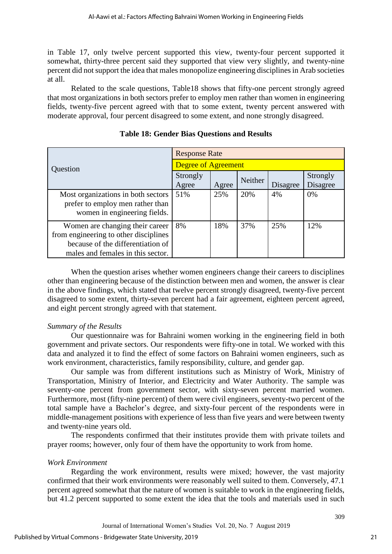in Table 17, only twelve percent supported this view, twenty-four percent supported it somewhat, thirty-three percent said they supported that view very slightly, and twenty-nine percent did not support the idea that males monopolize engineering disciplines in Arab societies at all.

Related to the scale questions, Table18 shows that fifty-one percent strongly agreed that most organizations in both sectors prefer to employ men rather than women in engineering fields, twenty-five percent agreed with that to some extent, twenty percent answered with moderate approval, four percent disagreed to some extent, and none strongly disagreed.

|                                                                                                                                                    | <b>Response Rate</b>       |       |                |          |                      |
|----------------------------------------------------------------------------------------------------------------------------------------------------|----------------------------|-------|----------------|----------|----------------------|
| Question                                                                                                                                           | <b>Degree of Agreement</b> |       |                |          |                      |
| Strongly<br>Agree                                                                                                                                  |                            | Agree | <b>Neither</b> | Disagree | Strongly<br>Disagree |
| Most organizations in both sectors<br>prefer to employ men rather than<br>women in engineering fields.                                             | 51%                        | 25%   | 20%            | 4%       | 0%                   |
| Women are changing their career<br>from engineering to other disciplines<br>because of the differentiation of<br>males and females in this sector. | 8%                         | 18%   | 37%            | 25%      | 12%                  |

**Table 18: Gender Bias Questions and Results**

When the question arises whether women engineers change their careers to disciplines other than engineering because of the distinction between men and women, the answer is clear in the above findings, which stated that twelve percent strongly disagreed, twenty-five percent disagreed to some extent, thirty-seven percent had a fair agreement, eighteen percent agreed, and eight percent strongly agreed with that statement.

# *Summary of the Results*

Our questionnaire was for Bahraini women working in the engineering field in both government and private sectors. Our respondents were fifty-one in total. We worked with this data and analyzed it to find the effect of some factors on Bahraini women engineers, such as work environment, characteristics, family responsibility, culture, and gender gap.

Our sample was from different institutions such as Ministry of Work, Ministry of Transportation, Ministry of Interior, and Electricity and Water Authority. The sample was seventy-one percent from government sector, with sixty-seven percent married women. Furthermore, most (fifty-nine percent) of them were civil engineers, seventy-two percent of the total sample have a Bachelor's degree, and sixty-four percent of the respondents were in middle-management positions with experience of less than five years and were between twenty and twenty-nine years old.

The respondents confirmed that their institutes provide them with private toilets and prayer rooms; however, only four of them have the opportunity to work from home.

# *Work Environment*

Regarding the work environment, results were mixed; however, the vast majority confirmed that their work environments were reasonably well suited to them. Conversely, 47.1 percent agreed somewhat that the nature of women is suitable to work in the engineering fields, but 41.2 percent supported to some extent the idea that the tools and materials used in such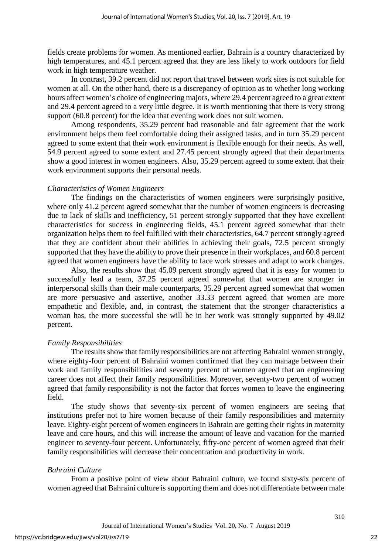fields create problems for women. As mentioned earlier, Bahrain is a country characterized by high temperatures, and 45.1 percent agreed that they are less likely to work outdoors for field work in high temperature weather.

In contrast, 39.2 percent did not report that travel between work sites is not suitable for women at all. On the other hand, there is a discrepancy of opinion as to whether long working hours affect women's choice of engineering majors, where 29.4 percent agreed to a great extent and 29.4 percent agreed to a very little degree. It is worth mentioning that there is very strong support (60.8 percent) for the idea that evening work does not suit women.

Among respondents, 35.29 percent had reasonable and fair agreement that the work environment helps them feel comfortable doing their assigned tasks, and in turn 35.29 percent agreed to some extent that their work environment is flexible enough for their needs. As well, 54.9 percent agreed to some extent and 27.45 percent strongly agreed that their departments show a good interest in women engineers. Also, 35.29 percent agreed to some extent that their work environment supports their personal needs.

#### *Characteristics of Women Engineers*

The findings on the characteristics of women engineers were surprisingly positive, where only 41.2 percent agreed somewhat that the number of women engineers is decreasing due to lack of skills and inefficiency, 51 percent strongly supported that they have excellent characteristics for success in engineering fields, 45.1 percent agreed somewhat that their organization helps them to feel fulfilled with their characteristics, 64.7 percent strongly agreed that they are confident about their abilities in achieving their goals, 72.5 percent strongly supported that they have the ability to prove their presence in their workplaces, and 60.8 percent agreed that women engineers have the ability to face work stresses and adapt to work changes.

Also, the results show that 45.09 percent strongly agreed that it is easy for women to successfully lead a team, 37.25 percent agreed somewhat that women are stronger in interpersonal skills than their male counterparts, 35.29 percent agreed somewhat that women are more persuasive and assertive, another 33.33 percent agreed that women are more empathetic and flexible, and, in contrast, the statement that the stronger characteristics a woman has, the more successful she will be in her work was strongly supported by 49.02 percent.

#### *Family Responsibilities*

The results show that family responsibilities are not affecting Bahraini women strongly, where eighty-four percent of Bahraini women confirmed that they can manage between their work and family responsibilities and seventy percent of women agreed that an engineering career does not affect their family responsibilities. Moreover, seventy-two percent of women agreed that family responsibility is not the factor that forces women to leave the engineering field.

The study shows that seventy-six percent of women engineers are seeing that institutions prefer not to hire women because of their family responsibilities and maternity leave. Eighty-eight percent of women engineers in Bahrain are getting their rights in maternity leave and care hours, and this will increase the amount of leave and vacation for the married engineer to seventy-four percent. Unfortunately, fifty-one percent of women agreed that their family responsibilities will decrease their concentration and productivity in work.

#### *Bahraini Culture*

From a positive point of view about Bahraini culture, we found sixty-six percent of women agreed that Bahraini culture is supporting them and does not differentiate between male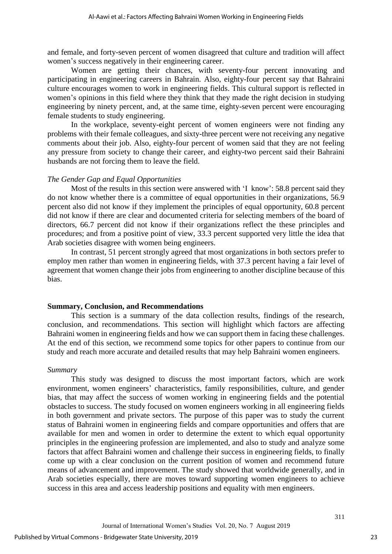and female, and forty-seven percent of women disagreed that culture and tradition will affect women's success negatively in their engineering career.

Women are getting their chances, with seventy-four percent innovating and participating in engineering careers in Bahrain. Also, eighty-four percent say that Bahraini culture encourages women to work in engineering fields. This cultural support is reflected in women's opinions in this field where they think that they made the right decision in studying engineering by ninety percent, and, at the same time, eighty-seven percent were encouraging female students to study engineering.

In the workplace, seventy-eight percent of women engineers were not finding any problems with their female colleagues, and sixty-three percent were not receiving any negative comments about their job. Also, eighty-four percent of women said that they are not feeling any pressure from society to change their career, and eighty-two percent said their Bahraini husbands are not forcing them to leave the field.

## *The Gender Gap and Equal Opportunities*

Most of the results in this section were answered with 'I know': 58.8 percent said they do not know whether there is a committee of equal opportunities in their organizations, 56.9 percent also did not know if they implement the principles of equal opportunity, 60.8 percent did not know if there are clear and documented criteria for selecting members of the board of directors, 66.7 percent did not know if their organizations reflect the these principles and procedures; and from a positive point of view, 33.3 percent supported very little the idea that Arab societies disagree with women being engineers.

In contrast, 51 percent strongly agreed that most organizations in both sectors prefer to employ men rather than women in engineering fields, with 37.3 percent having a fair level of agreement that women change their jobs from engineering to another discipline because of this bias.

## **Summary, Conclusion, and Recommendations**

This section is a summary of the data collection results, findings of the research, conclusion, and recommendations. This section will highlight which factors are affecting Bahraini women in engineering fields and how we can support them in facing these challenges. At the end of this section, we recommend some topics for other papers to continue from our study and reach more accurate and detailed results that may help Bahraini women engineers.

## *Summary*

This study was designed to discuss the most important factors, which are work environment, women engineers' characteristics, family responsibilities, culture, and gender bias, that may affect the success of women working in engineering fields and the potential obstacles to success. The study focused on women engineers working in all engineering fields in both government and private sectors. The purpose of this paper was to study the current status of Bahraini women in engineering fields and compare opportunities and offers that are available for men and women in order to determine the extent to which equal opportunity principles in the engineering profession are implemented, and also to study and analyze some factors that affect Bahraini women and challenge their success in engineering fields, to finally come up with a clear conclusion on the current position of women and recommend future means of advancement and improvement. The study showed that worldwide generally, and in Arab societies especially, there are moves toward supporting women engineers to achieve success in this area and access leadership positions and equality with men engineers.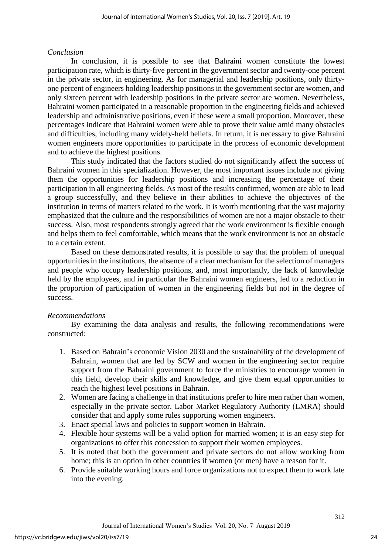### *Conclusion*

In conclusion, it is possible to see that Bahraini women constitute the lowest participation rate, which is thirty-five percent in the government sector and twenty-one percent in the private sector, in engineering. As for managerial and leadership positions, only thirtyone percent of engineers holding leadership positions in the government sector are women, and only sixteen percent with leadership positions in the private sector are women. Nevertheless, Bahraini women participated in a reasonable proportion in the engineering fields and achieved leadership and administrative positions, even if these were a small proportion. Moreover, these percentages indicate that Bahraini women were able to prove their value amid many obstacles and difficulties, including many widely-held beliefs. In return, it is necessary to give Bahraini women engineers more opportunities to participate in the process of economic development and to achieve the highest positions.

This study indicated that the factors studied do not significantly affect the success of Bahraini women in this specialization. However, the most important issues include not giving them the opportunities for leadership positions and increasing the percentage of their participation in all engineering fields. As most of the results confirmed, women are able to lead a group successfully, and they believe in their abilities to achieve the objectives of the institution in terms of matters related to the work. It is worth mentioning that the vast majority emphasized that the culture and the responsibilities of women are not a major obstacle to their success. Also, most respondents strongly agreed that the work environment is flexible enough and helps them to feel comfortable, which means that the work environment is not an obstacle to a certain extent.

Based on these demonstrated results, it is possible to say that the problem of unequal opportunities in the institutions, the absence of a clear mechanism for the selection of managers and people who occupy leadership positions, and, most importantly, the lack of knowledge held by the employees, and in particular the Bahraini women engineers, led to a reduction in the proportion of participation of women in the engineering fields but not in the degree of success.

## *Recommendations*

By examining the data analysis and results, the following recommendations were constructed:

- 1. Based on Bahrain's economic Vision 2030 and the sustainability of the development of Bahrain, women that are led by SCW and women in the engineering sector require support from the Bahraini government to force the ministries to encourage women in this field, develop their skills and knowledge, and give them equal opportunities to reach the highest level positions in Bahrain.
- 2. Women are facing a challenge in that institutions prefer to hire men rather than women, especially in the private sector. Labor Market Regulatory Authority (LMRA) should consider that and apply some rules supporting women engineers.
- 3. Enact special laws and policies to support women in Bahrain.
- 4. Flexible hour systems will be a valid option for married women; it is an easy step for organizations to offer this concession to support their women employees.
- 5. It is noted that both the government and private sectors do not allow working from home; this is an option in other countries if women (or men) have a reason for it.
- 6. Provide suitable working hours and force organizations not to expect them to work late into the evening.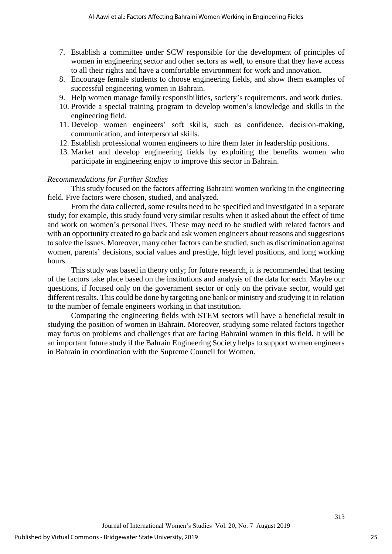- 7. Establish a committee under SCW responsible for the development of principles of women in engineering sector and other sectors as well, to ensure that they have access to all their rights and have a comfortable environment for work and innovation.
- 8. Encourage female students to choose engineering fields, and show them examples of successful engineering women in Bahrain.
- 9. Help women manage family responsibilities, society's requirements, and work duties.
- 10. Provide a special training program to develop women's knowledge and skills in the engineering field.
- 11. Develop women engineers' soft skills, such as confidence, decision-making, communication, and interpersonal skills.
- 12. Establish professional women engineers to hire them later in leadership positions.
- 13. Market and develop engineering fields by exploiting the benefits women who participate in engineering enjoy to improve this sector in Bahrain.

## *Recommendations for Further Studies*

This study focused on the factors affecting Bahraini women working in the engineering field. Five factors were chosen, studied, and analyzed.

From the data collected, some results need to be specified and investigated in a separate study; for example, this study found very similar results when it asked about the effect of time and work on women's personal lives. These may need to be studied with related factors and with an opportunity created to go back and ask women engineers about reasons and suggestions to solve the issues. Moreover, many other factors can be studied, such as discrimination against women, parents' decisions, social values and prestige, high level positions, and long working hours.

This study was based in theory only; for future research, it is recommended that testing of the factors take place based on the institutions and analysis of the data for each. Maybe our questions, if focused only on the government sector or only on the private sector, would get different results. This could be done by targeting one bank or ministry and studying it in relation to the number of female engineers working in that institution.

Comparing the engineering fields with STEM sectors will have a beneficial result in studying the position of women in Bahrain. Moreover, studying some related factors together may focus on problems and challenges that are facing Bahraini women in this field. It will be an important future study if the Bahrain Engineering Society helps to support women engineers in Bahrain in coordination with the Supreme Council for Women.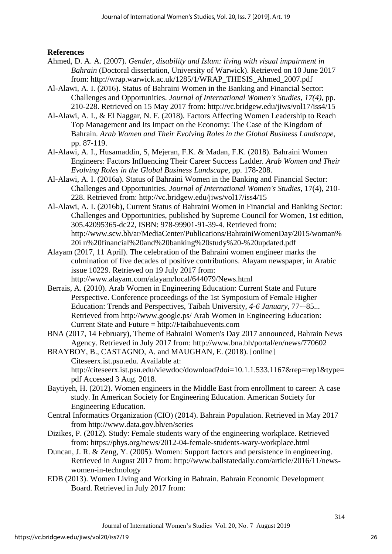**References**

- Ahmed, D. A. A. (2007). *Gender, disability and Islam: living with visual impairment in Bahrain* (Doctoral dissertation, University of Warwick). Retrieved on 10 June 2017 from: http://wrap.warwick.ac.uk/1285/1/WRAP\_THESIS\_Ahmed\_2007.pdf
- Al-Alawi, A. I. (2016). Status of Bahraini Women in the Banking and Financial Sector: Challenges and Opportunities. *Journal of International Women's Studies*, *17(4)*, pp. 210-228. Retrieved on 15 May 2017 from: http://vc.bridgew.edu/jiws/vol17/iss4/15
- Al-Alawi, A. I., & El Naggar, N. F. (2018). Factors Affecting Women Leadership to Reach Top Management and Its Impact on the Economy: The Case of the Kingdom of Bahrain. *Arab Women and Their Evolving Roles in the Global Business Landscape*, pp. 87-119.
- Al-Alawi, A. I., Husamaddin, S, Mejeran, F.K. & Madan, F.K. (2018). Bahraini Women Engineers: Factors Influencing Their Career Success Ladder. *Arab Women and Their Evolving Roles in the Global Business Landscape*, pp. 178-208.
- Al-Alawi, A. I. (2016a). Status of Bahraini Women in the Banking and Financial Sector: Challenges and Opportunities. *Journal of International Women's Studies*, 17(4), 210- 228. Retrieved from: http://vc.bridgew.edu/jiws/vol17/iss4/15
- Al-Alawi, A. I. (2016b), Current Status of Bahraini Women in Financial and Banking Sector: Challenges and Opportunities, published by Supreme Council for Women, 1st edition, 305.42095365-dc22, ISBN: 978-99901-91-39-4. Retrieved from: http://www.scw.bh/ar/MediaCenter/Publications/BahrainiWomenDay/2015/woman% 20i n%20financial%20and%20banking%20study%20-%20updated.pdf
- Alayam (2017, 11 April). The celebration of the Bahraini women engineer marks the culmination of five decades of positive contributions. Alayam newspaper, in Arabic issue 10229. Retrieved on 19 July 2017 from: http://www.alayam.com/alayam/local/644079/News.html
- Berrais, A. (2010). Arab Women in Engineering Education: Current State and Future Perspective. Conference proceedings of the 1st Symposium of Female Higher Education: Trends and Perspectives, Taibah University, *4-6 January*, 77-–85... Retrieved from<http://www.google.ps/> Arab Women in Engineering Education: Current State and Future = http://Ftaibahuevents.com
- BNA (2017, 14 February), Theme of Bahraini Women's Day 2017 announced, Bahrain News Agency. Retrieved in July 2017 from: http://www.bna.bh/portal/en/news/770602
- BRAYBOY, B., CASTAGNO, A. and MAUGHAN, E. (2018). [online] Citeseerx.ist.psu.edu. Available at: http://citeseerx.ist.psu.edu/viewdoc/download?doi=10.1.1.533.1167&rep=rep1&type= pdf Accessed 3 Aug. 2018.
- Baytiyeh, H. (2012). Women engineers in the Middle East from enrollment to career: A case study. In American Society for Engineering Education. American Society for Engineering Education.
- Central Informatics Organization (CIO) (2014). Bahrain Population. Retrieved in May 2017 from http://www.data.gov.bh/en/series
- Dizikes, P. (2012). Study: Female students wary of the engineering workplace. Retrieved from: https://phys.org/news/2012-04-female-students-wary-workplace.html
- Duncan, J. R. & Zeng, Y. (2005). Women: Support factors and persistence in engineering. Retrieved in August 2017 from: http://www.ballstatedaily.com/article/2016/11/newswomen-in-technology
- EDB (2013). Women Living and Working in Bahrain. Bahrain Economic Development Board. Retrieved in July 2017 from: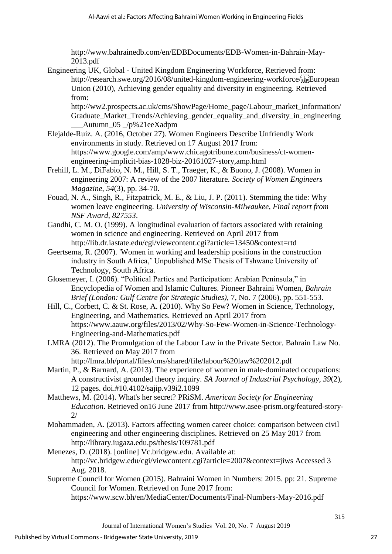http://www.bahrainedb.com/en/EDBDocuments/EDB-Women-in-Bahrain-May-2013.pdf

Engineering UK, Global - United Kingdom Engineering Workforce, Retrieved from: http://research.swe.org/2016/08/united-kingdom-engineering-workforce/European Union (2010), Achieving gender equality and diversity in engineering. Retrieved from:

http://ww2.prospects.ac.uk/cms/ShowPage/Home\_page/Labour\_market\_information/ Graduate Market Trends/Achieving gender equality and diversity in engineering  $_\text{Autumn\_05}$  /p%21eeXadpm

- Elejalde-Ruiz. A. (2016, October 27). Women Engineers Describe Unfriendly Work environments in study. Retrieved on 17 August 2017 from: https://www.google.com/amp/www.chicagotribune.com/business/ct-womenengineering-implicit-bias-1028-biz-20161027-story,amp.html
- Frehill, L. M., DiFabio, N. M., Hill, S. T., Traeger, K., & Buono, J. (2008). Women in engineering 2007: A review of the 2007 literature. *Society of Women Engineers Magazine*, *54*(3), pp. 34-70.
- Fouad, N. A., Singh, R., Fitzpatrick, M. E., & Liu, J. P. (2011). Stemming the tide: Why women leave engineering. *University of Wisconsin-Milwaukee, Final report from NSF Award*, *827553*.
- Gandhi, C. M. O. (1999). A longitudinal evaluation of factors associated with retaining women in science and engineering. Retrieved on April 2017 from http://lib.dr.iastate.edu/cgi/viewcontent.cgi?article=13450&context=rtd
- Geertsema, R. (2007). 'Women in working and leadership positions in the construction industry in South Africa,' Unpublished MSc Thesis of Tshwane University of Technology, South Africa.
- Glosemeyer, I. (2006). "Political Parties and Participation: Arabian Peninsula," in Encyclopedia of Women and Islamic Cultures. Pioneer Bahraini Women, *Bahrain Brief (London: Gulf Centre for Strategic Studies)*, 7, No. 7 (2006), pp. 551-553.
- Hill, C., Corbett, C. & St. Rose, A. (2010). Why So Few? Women in Science, Technology, Engineering, and Mathematics. Retrieved on April 2017 from https://www.aauw.org/files/2013/02/Why-So-Few-Women-in-Science-Technology-Engineering-and-Mathematics.pdf
- LMRA (2012). The Promulgation of the Labour Law in the Private Sector. Bahrain Law No. 36. Retrieved on May 2017 from

http://lmra.bh/portal/files/cms/shared/file/labour%20law%202012.pdf

- Martin, P., & Barnard, A. (2013). The experience of women in male-dominated occupations: A constructivist grounded theory inquiry. *SA Journal of Industrial Psychology, 39*(2), 12 pages. doi.#10.4102/sajip.v39i2.1099
- Matthews, M. (2014). What's her secret? PRiSM. *American Society for Engineering Education*. Retrieved on16 June 2017 from http://www.asee-prism.org/featured-story- $2/$
- Mohammaden, A. (2013). Factors affecting women career choice: comparison between civil engineering and other engineering disciplines. Retrieved on 25 May 2017 from http://library.iugaza.edu.ps/thesis/109781.pdf
- Menezes, D. (2018). [online] Vc.bridgew.edu. Available at: http://vc.bridgew.edu/cgi/viewcontent.cgi?article=2007&context=jiws Accessed 3 Aug. 2018.
- Supreme Council for Women (2015). Bahraini Women in Numbers: 2015. pp: 21. Supreme Council for Women. Retrieved on June 2017 from:

https://www.scw.bh/en/MediaCenter/Documents/Final-Numbers-May-2016.pdf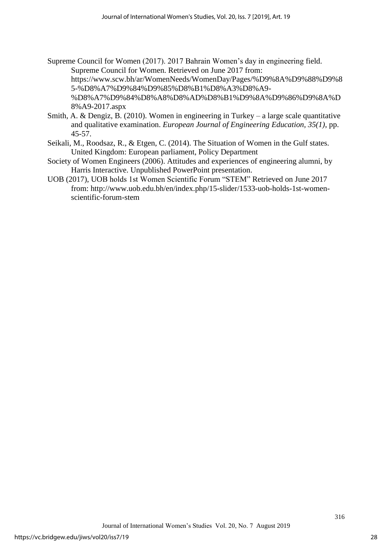- Supreme Council for Women (2017). 2017 Bahrain Women's day in engineering field. Supreme Council for Women. Retrieved on June 2017 from: https://www.scw.bh/ar/WomenNeeds/WomenDay/Pages/%D9%8A%D9%88%D9%8 5-%D8%A7%D9%84%D9%85%D8%B1%D8%A3%D8%A9- %D8%A7%D9%84%D8%A8%D8%AD%D8%B1%D9%8A%D9%86%D9%8A%D 8%A9-2017.aspx
- Smith, A. & Dengiz, B. (2010). Women in engineering in Turkey a large scale quantitative and qualitative examination. *European Journal of Engineering Education, 35(1)*, pp. 45-57.
- Seikali, M., Roodsaz, R., & Etgen, C. (2014). The Situation of Women in the Gulf states. United Kingdom: European parliament, Policy Department
- Society of Women Engineers (2006). Attitudes and experiences of engineering alumni, by Harris Interactive. Unpublished PowerPoint presentation.
- UOB (2017), UOB holds 1st Women Scientific Forum "STEM" Retrieved on June 2017 from: http://www.uob.edu.bh/en/index.php/15-slider/1533-uob-holds-1st-womenscientific-forum-stem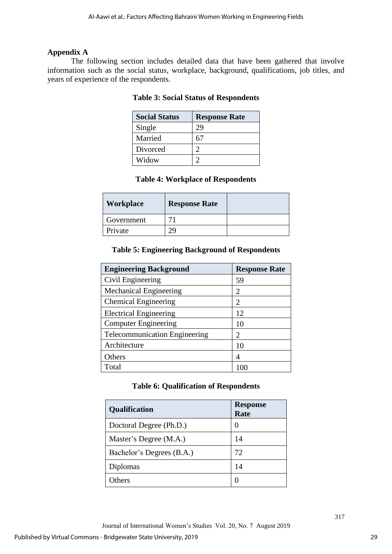# **Appendix A**

The following section includes detailed data that have been gathered that involve information such as the social status, workplace, background, qualifications, job titles, and years of experience of the respondents.

| <b>Social Status</b> | <b>Response Rate</b> |
|----------------------|----------------------|
| Single               | 29                   |
| Married              |                      |
| Divorced             |                      |
| Widow                |                      |

# **Table 3: Social Status of Respondents**

# **Table 4: Workplace of Respondents**

| Workplace  | <b>Response Rate</b> |  |
|------------|----------------------|--|
| Government |                      |  |
| Private    |                      |  |

# **Table 5: Engineering Background of Respondents**

| <b>Engineering Background</b>        | <b>Response Rate</b>  |
|--------------------------------------|-----------------------|
| Civil Engineering                    | 59                    |
| <b>Mechanical Engineering</b>        | $\mathcal{D}_{\cdot}$ |
| <b>Chemical Engineering</b>          | 2                     |
| <b>Electrical Engineering</b>        | 12                    |
| <b>Computer Engineering</b>          | 10                    |
| <b>Telecommunication Engineering</b> | 2                     |
| Architecture                         | 10                    |
| Others                               | 4                     |
| Total                                |                       |

# **Table 6: Qualification of Respondents**

| Qualification             | <b>Response</b><br>Rate |
|---------------------------|-------------------------|
| Doctoral Degree (Ph.D.)   | $\mathbf{\Omega}$       |
| Master's Degree (M.A.)    | 14                      |
| Bachelor's Degrees (B.A.) | 72                      |
| Diplomas                  | 14                      |
| <b>)thers</b>             |                         |